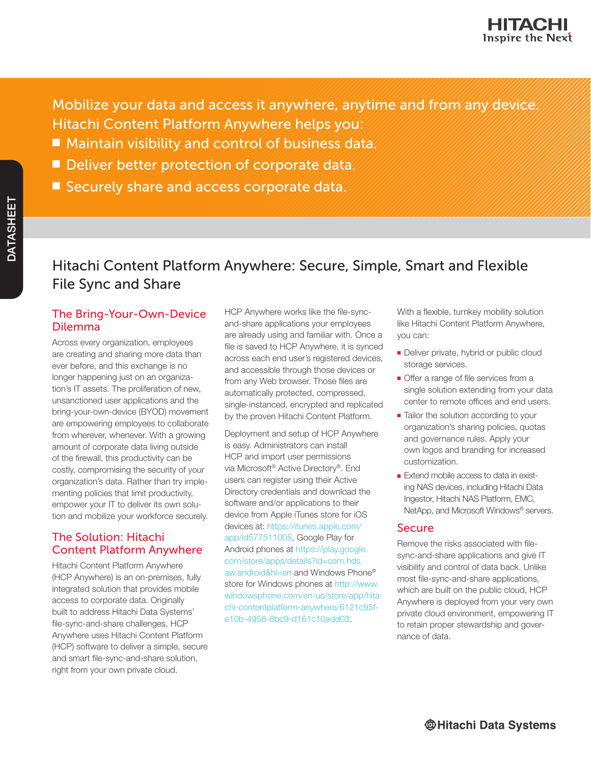Mobilize your data and access it anywhere, anytime and from any device. Hitachi Content Platform Anywhere helps you:

- Maintain visibility and control of business data.
- Deliver better protection of corporate data.
- Securely share and access corporate data.

# Hitachi Content Platform Anywhere: Secure, Simple, Smart and Flexible File Sync and Share

# The Bring-Your-Own-Device Dilemma

Across every organization, employees are creating and sharing more data than ever before, and this exchange is no longer happening just on an organization's IT assets. The proliferation of new, unsanctioned user applications and the bring-your-own-device (BYOD) movement are empowering employees to collaborate from wherever, whenever. With a growing amount of corporate data living outside of the firewall, this productivity can be costly, compromising the security of your organization's data. Rather than try implementing policies that limit productivity, empower your IT to deliver its own solution and mobilize your workforce securely.

## The Solution: Hitachi Content Platform Anywhere

Hitachi Content Platform Anywhere (HCP Anywhere) is an on-premises, fully integrated solution that provides mobile access to corporate data. Originally built to address Hitachi Data Systems' file-sync-and-share challenges, HCP Anywhere uses Hitachi Content Platform (HCP) software to deliver a simple, secure and smart file-sync-and-share solution, right from your own private cloud.

HCP Anywhere works like the file-syncand-share applications your employees are already using and familiar with. Once a file is saved to HCP Anywhere, it is synced across each end user's registered devices, and accessible through those devices or from any Web browser. Those files are automatically protected, compressed, single-instanced, encrypted and replicated by the proven Hitachi Content Platform.

Deployment and setup of HCP Anywhere is easy. Administrators can install HCP and import user permissions via Microsoft® Active Directory®. End users can register using their Active Directory credentials and download the software and/or applications to their device from Apple iTunes store for iOS devices at: [https://itunes.apple.com/](https://itunes.apple.com/app/id577511005) [app/id577511005,](https://itunes.apple.com/app/id577511005) Google Play for Android phones at [https://play.google.](https://play.google.com/store/apps/details?id=com.hds.aw.android&hl=en) [com/store/apps/details?id=com.hds.](https://play.google.com/store/apps/details?id=com.hds.aw.android&hl=en) [aw.android&hl=en](https://play.google.com/store/apps/details?id=com.hds.aw.android&hl=en) and Windows Phone® store for Windows phones at [http://www.](http://www.windowsphone.com/en-us/store/app/hitachi-contentplatform-anywhere/6121c95f-e10b-4958-8bc9-d161c10add03) [windowsphone.com/en-us/store/app/hita](http://www.windowsphone.com/en-us/store/app/hitachi-contentplatform-anywhere/6121c95f-e10b-4958-8bc9-d161c10add03)[chi-contentplatform-anywhere/6121c95f](http://www.windowsphone.com/en-us/store/app/hitachi-contentplatform-anywhere/6121c95f-e10b-4958-8bc9-d161c10add03)[e10b-4958-8bc9-d161c10add03](http://www.windowsphone.com/en-us/store/app/hitachi-contentplatform-anywhere/6121c95f-e10b-4958-8bc9-d161c10add03).

With a flexible, turnkey mobility solution like Hitachi Content Platform Anywhere, you can:

- Deliver private, hybrid or public cloud storage services.
- Offer a range of file services from a single solution extending from your data center to remote offices and end users.
- Tailor the solution according to your organization's sharing policies, quotas and governance rules. Apply your own logos and branding for increased customization.
- Extend mobile access to data in existing NAS devices, including Hitachi Data Ingestor, Hitachi NAS Platform, EMC, NetApp, and Microsoft Windows® servers.

### Secure

Remove the risks associated with filesync-and-share applications and give IT visibility and control of data back. Unlike most file-sync-and-share applications, which are built on the public cloud, HCP Anywhere is deployed from your very own private cloud environment, empowering IT to retain proper stewardship and governance of data.